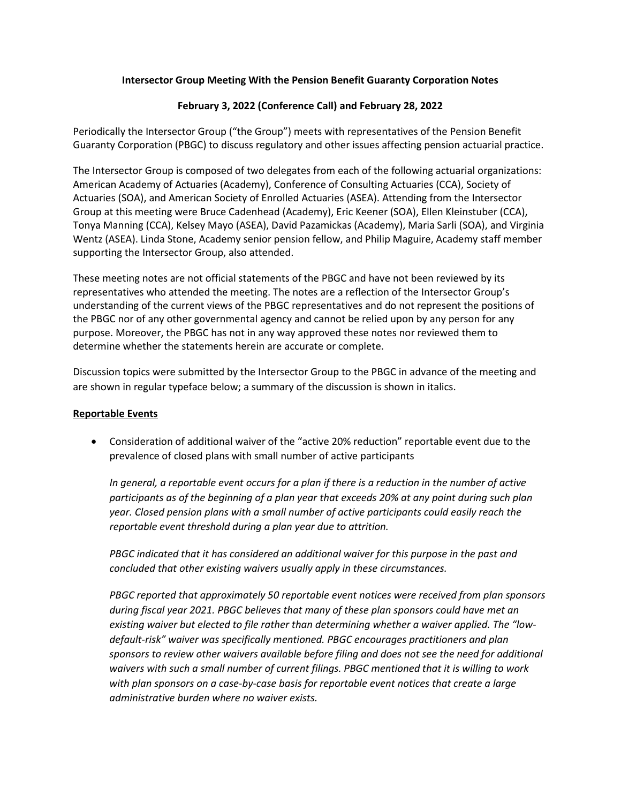## **Intersector Group Meeting With the Pension Benefit Guaranty Corporation Notes**

# **February 3, 2022 (Conference Call) and February 28, 2022**

Periodically the Intersector Group ("the Group") meets with representatives of the Pension Benefit Guaranty Corporation (PBGC) to discuss regulatory and other issues affecting pension actuarial practice.

The Intersector Group is composed of two delegates from each of the following actuarial organizations: American Academy of Actuaries (Academy), Conference of Consulting Actuaries (CCA), Society of Actuaries (SOA), and American Society of Enrolled Actuaries (ASEA). Attending from the Intersector Group at this meeting were Bruce Cadenhead (Academy), Eric Keener (SOA), Ellen Kleinstuber (CCA), Tonya Manning (CCA), Kelsey Mayo (ASEA), David Pazamickas (Academy), Maria Sarli (SOA), and Virginia Wentz (ASEA). Linda Stone, Academy senior pension fellow, and Philip Maguire, Academy staff member supporting the Intersector Group, also attended.

These meeting notes are not official statements of the PBGC and have not been reviewed by its representatives who attended the meeting. The notes are a reflection of the Intersector Group's understanding of the current views of the PBGC representatives and do not represent the positions of the PBGC nor of any other governmental agency and cannot be relied upon by any person for any purpose. Moreover, the PBGC has not in any way approved these notes nor reviewed them to determine whether the statements herein are accurate or complete.

Discussion topics were submitted by the Intersector Group to the PBGC in advance of the meeting and are shown in regular typeface below; a summary of the discussion is shown in italics.

### **Reportable Events**

• Consideration of additional waiver of the "active 20% reduction" reportable event due to the prevalence of closed plans with small number of active participants

*In general, a reportable event occurs for a plan if there is a reduction in the number of active participants as of the beginning of a plan year that exceeds 20% at any point during such plan year. Closed pension plans with a small number of active participants could easily reach the reportable event threshold during a plan year due to attrition.*

*PBGC indicated that it has considered an additional waiver for this purpose in the past and concluded that other existing waivers usually apply in these circumstances.*

*PBGC reported that approximately 50 reportable event notices were received from plan sponsors during fiscal year 2021. PBGC believes that many of these plan sponsors could have met an existing waiver but elected to file rather than determining whether a waiver applied. The "lowdefault-risk" waiver was specifically mentioned. PBGC encourages practitioners and plan sponsors to review other waivers available before filing and does not see the need for additional waivers with such a small number of current filings. PBGC mentioned that it is willing to work with plan sponsors on a case-by-case basis for reportable event notices that create a large administrative burden where no waiver exists.*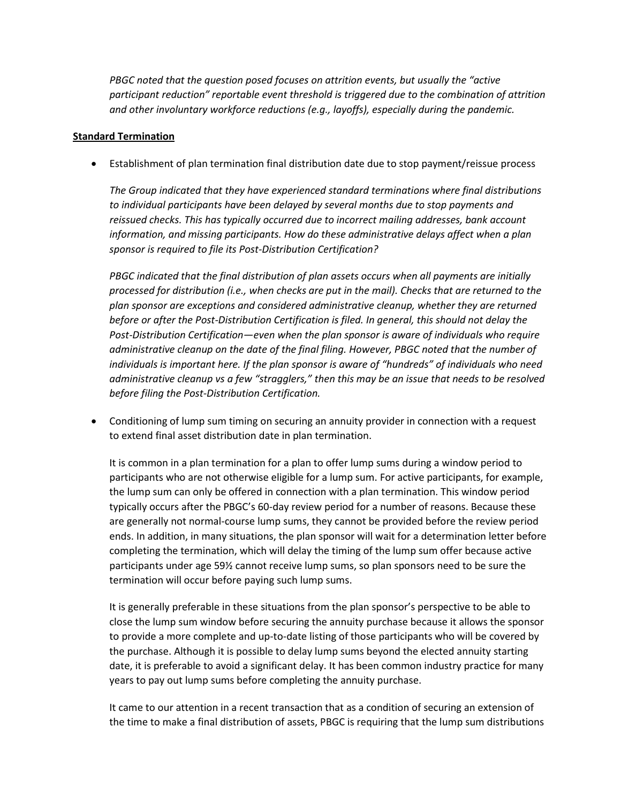*PBGC noted that the question posed focuses on attrition events, but usually the "active participant reduction" reportable event threshold is triggered due to the combination of attrition and other involuntary workforce reductions (e.g., layoffs), especially during the pandemic.*

### **Standard Termination**

• Establishment of plan termination final distribution date due to stop payment/reissue process

*The Group indicated that they have experienced standard terminations where final distributions to individual participants have been delayed by several months due to stop payments and reissued checks. This has typically occurred due to incorrect mailing addresses, bank account information, and missing participants. How do these administrative delays affect when a plan sponsor is required to file its Post-Distribution Certification?*

*PBGC indicated that the final distribution of plan assets occurs when all payments are initially processed for distribution (i.e., when checks are put in the mail). Checks that are returned to the plan sponsor are exceptions and considered administrative cleanup, whether they are returned before or after the Post-Distribution Certification is filed. In general, this should not delay the Post-Distribution Certification—even when the plan sponsor is aware of individuals who require administrative cleanup on the date of the final filing. However, PBGC noted that the number of individuals is important here. If the plan sponsor is aware of "hundreds" of individuals who need administrative cleanup vs a few "stragglers," then this may be an issue that needs to be resolved before filing the Post-Distribution Certification.*

• Conditioning of lump sum timing on securing an annuity provider in connection with a request to extend final asset distribution date in plan termination.

It is common in a plan termination for a plan to offer lump sums during a window period to participants who are not otherwise eligible for a lump sum. For active participants, for example, the lump sum can only be offered in connection with a plan termination. This window period typically occurs after the PBGC's 60-day review period for a number of reasons. Because these are generally not normal-course lump sums, they cannot be provided before the review period ends. In addition, in many situations, the plan sponsor will wait for a determination letter before completing the termination, which will delay the timing of the lump sum offer because active participants under age 59½ cannot receive lump sums, so plan sponsors need to be sure the termination will occur before paying such lump sums.

It is generally preferable in these situations from the plan sponsor's perspective to be able to close the lump sum window before securing the annuity purchase because it allows the sponsor to provide a more complete and up-to-date listing of those participants who will be covered by the purchase. Although it is possible to delay lump sums beyond the elected annuity starting date, it is preferable to avoid a significant delay. It has been common industry practice for many years to pay out lump sums before completing the annuity purchase.

It came to our attention in a recent transaction that as a condition of securing an extension of the time to make a final distribution of assets, PBGC is requiring that the lump sum distributions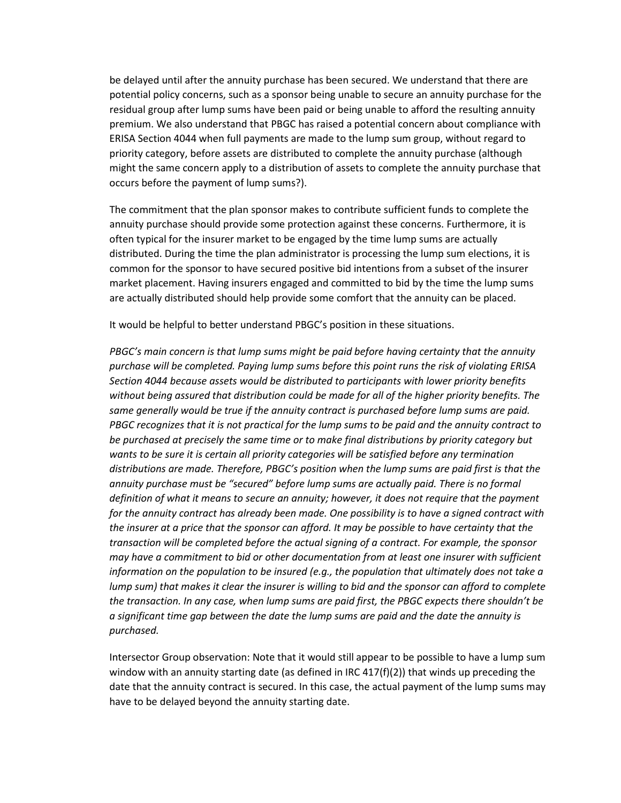be delayed until after the annuity purchase has been secured. We understand that there are potential policy concerns, such as a sponsor being unable to secure an annuity purchase for the residual group after lump sums have been paid or being unable to afford the resulting annuity premium. We also understand that PBGC has raised a potential concern about compliance with ERISA Section 4044 when full payments are made to the lump sum group, without regard to priority category, before assets are distributed to complete the annuity purchase (although might the same concern apply to a distribution of assets to complete the annuity purchase that occurs before the payment of lump sums?).

The commitment that the plan sponsor makes to contribute sufficient funds to complete the annuity purchase should provide some protection against these concerns. Furthermore, it is often typical for the insurer market to be engaged by the time lump sums are actually distributed. During the time the plan administrator is processing the lump sum elections, it is common for the sponsor to have secured positive bid intentions from a subset of the insurer market placement. Having insurers engaged and committed to bid by the time the lump sums are actually distributed should help provide some comfort that the annuity can be placed.

It would be helpful to better understand PBGC's position in these situations.

*PBGC's main concern is that lump sums might be paid before having certainty that the annuity purchase will be completed. Paying lump sums before this point runs the risk of violating ERISA Section 4044 because assets would be distributed to participants with lower priority benefits without being assured that distribution could be made for all of the higher priority benefits. The same generally would be true if the annuity contract is purchased before lump sums are paid. PBGC recognizes that it is not practical for the lump sums to be paid and the annuity contract to be purchased at precisely the same time or to make final distributions by priority category but wants to be sure it is certain all priority categories will be satisfied before any termination distributions are made. Therefore, PBGC's position when the lump sums are paid first is that the annuity purchase must be "secured" before lump sums are actually paid. There is no formal definition of what it means to secure an annuity; however, it does not require that the payment for the annuity contract has already been made. One possibility is to have a signed contract with the insurer at a price that the sponsor can afford. It may be possible to have certainty that the transaction will be completed before the actual signing of a contract. For example, the sponsor may have a commitment to bid or other documentation from at least one insurer with sufficient information on the population to be insured (e.g., the population that ultimately does not take a lump sum) that makes it clear the insurer is willing to bid and the sponsor can afford to complete the transaction. In any case, when lump sums are paid first, the PBGC expects there shouldn't be a significant time gap between the date the lump sums are paid and the date the annuity is purchased.*

Intersector Group observation: Note that it would still appear to be possible to have a lump sum window with an annuity starting date (as defined in IRC  $417(f)(2)$ ) that winds up preceding the date that the annuity contract is secured. In this case, the actual payment of the lump sums may have to be delayed beyond the annuity starting date.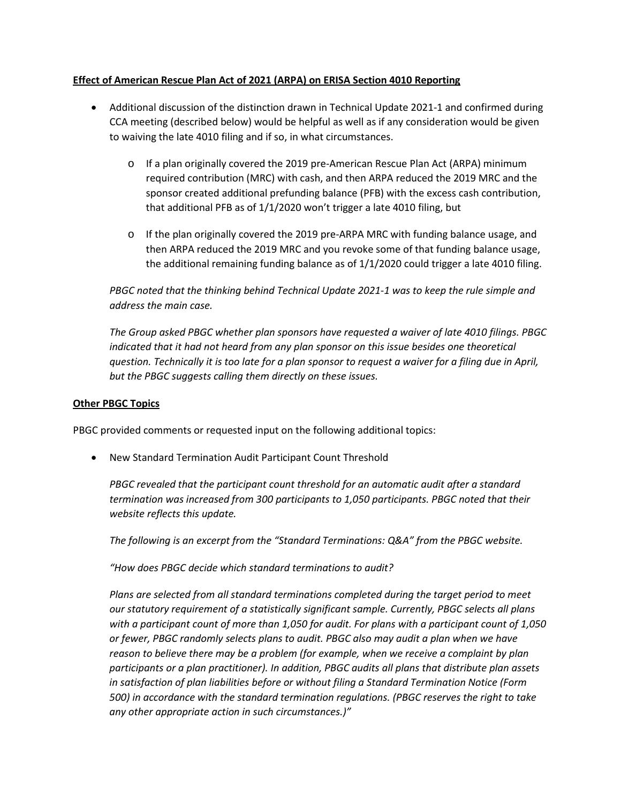## **Effect of American Rescue Plan Act of 2021 (ARPA) on ERISA Section 4010 Reporting**

- Additional discussion of the distinction drawn in Technical Update 2021-1 and confirmed during CCA meeting (described below) would be helpful as well as if any consideration would be given to waiving the late 4010 filing and if so, in what circumstances.
	- $\circ$  If a plan originally covered the 2019 pre-American Rescue Plan Act (ARPA) minimum required contribution (MRC) with cash, and then ARPA reduced the 2019 MRC and the sponsor created additional prefunding balance (PFB) with the excess cash contribution, that additional PFB as of 1/1/2020 won't trigger a late 4010 filing, but
	- $\circ$  If the plan originally covered the 2019 pre-ARPA MRC with funding balance usage, and then ARPA reduced the 2019 MRC and you revoke some of that funding balance usage, the additional remaining funding balance as of 1/1/2020 could trigger a late 4010 filing.

*PBGC noted that the thinking behind Technical Update 2021-1 was to keep the rule simple and address the main case.*

*The Group asked PBGC whether plan sponsors have requested a waiver of late 4010 filings. PBGC indicated that it had not heard from any plan sponsor on this issue besides one theoretical question. Technically it is too late for a plan sponsor to request a waiver for a filing due in April, but the PBGC suggests calling them directly on these issues.*

### **Other PBGC Topics**

PBGC provided comments or requested input on the following additional topics:

• New Standard Termination Audit Participant Count Threshold

*PBGC revealed that the participant count threshold for an automatic audit after a standard termination was increased from 300 participants to 1,050 participants. PBGC noted that their website reflects this update.*

*The following is an excerpt from the "Standard Terminations: Q&A" from the PBGC website.*

*"How does PBGC decide which standard terminations to audit?*

*Plans are selected from all standard terminations completed during the target period to meet our statutory requirement of a statistically significant sample. Currently, PBGC selects all plans with a participant count of more than 1,050 for audit. For plans with a participant count of 1,050 or fewer, PBGC randomly selects plans to audit. PBGC also may audit a plan when we have reason to believe there may be a problem (for example, when we receive a complaint by plan participants or a plan practitioner). In addition, PBGC audits all plans that distribute plan assets in satisfaction of plan liabilities before or without filing a Standard Termination Notice (Form 500) in accordance with the standard termination regulations. (PBGC reserves the right to take any other appropriate action in such circumstances.)"*